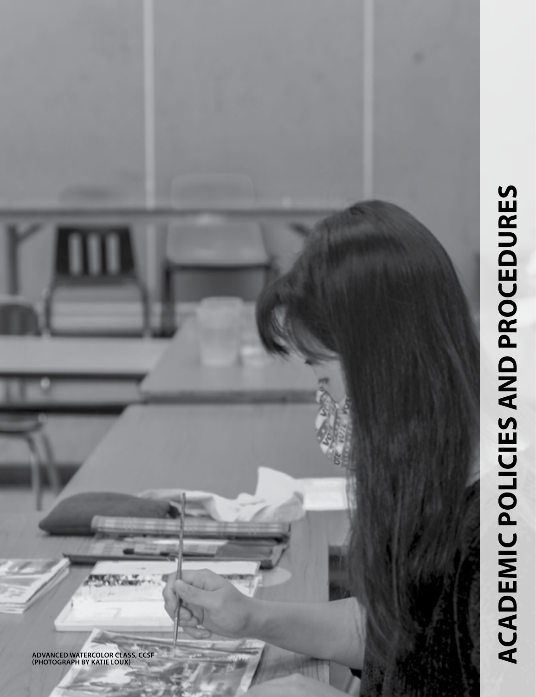# **ACADEMIC POLICIES AND PROCEDURES academic policies and procedures**

**ADVANCED WATERCOLOR CLASS, CCSF (PHOTOGRAPH BY KATIE LOUX)**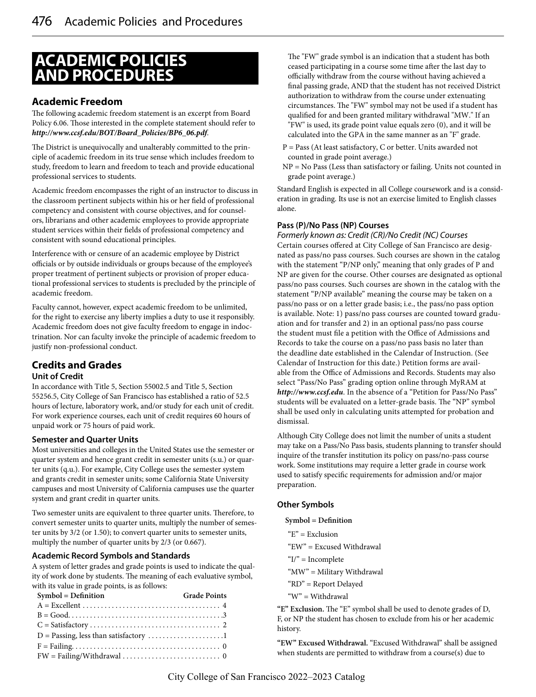# **ACADEMIC POLICIES AND PROCEDURES**

# **Academic Freedom**

The following academic freedom statement is an excerpt from Board Policy 6.06. Those interested in the complete statement should refer to *http://www.ccsf.edu/BOT/Board\_Policies/BP6\_06.pdf*.

The District is unequivocally and unalterably committed to the principle of academic freedom in its true sense which includes freedom to study, freedom to learn and freedom to teach and provide educational professional services to students.

Academic freedom encompasses the right of an instructor to discuss in the classroom pertinent subjects within his or her field of professional competency and consistent with course objectives, and for counselors, librarians and other academic employees to provide appropriate student services within their fields of professional competency and consistent with sound educational principles.

Interference with or censure of an academic employee by District officials or by outside individuals or groups because of the employee's proper treatment of pertinent subjects or provision of proper educational professional services to students is precluded by the principle of academic freedom.

Faculty cannot, however, expect academic freedom to be unlimited, for the right to exercise any liberty implies a duty to use it responsibly. Academic freedom does not give faculty freedom to engage in indoctrination. Nor can faculty invoke the principle of academic freedom to justify non-professional conduct.

# **Credits and Grades**

#### **Unit of Credit**

In accordance with Title 5, Section 55002.5 and Title 5, Section 55256.5, City College of San Francisco has established a ratio of 52.5 hours of lecture, laboratory work, and/or study for each unit of credit. For work experience courses, each unit of credit requires 60 hours of unpaid work or 75 hours of paid work.

#### **Semester and Quarter Units**

Most universities and colleges in the United States use the semester or quarter system and hence grant credit in semester units (s.u.) or quarter units (q.u.). For example, City College uses the semester system and grants credit in semester units; some California State University campuses and most University of California campuses use the quarter system and grant credit in quarter units.

Two semester units are equivalent to three quarter units. Therefore, to convert semester units to quarter units, multiply the number of semester units by 3/2 (or 1.50); to convert quarter units to semester units, multiply the number of quarter units by 2/3 (or 0.667).

#### **Academic Record Symbols and Standards**

A system of letter grades and grade points is used to indicate the quality of work done by students. The meaning of each evaluative symbol, with its value in grade points, is as follows:

| Symbol = Definition                                                                              | <b>Grade Points</b> |
|--------------------------------------------------------------------------------------------------|---------------------|
|                                                                                                  |                     |
|                                                                                                  |                     |
| $C = Satisfactory \dots \dots \dots \dots \dots \dots \dots \dots \dots \dots \dots \dots \dots$ |                     |
|                                                                                                  |                     |
|                                                                                                  |                     |
|                                                                                                  |                     |

The "FW" grade symbol is an indication that a student has both ceased participating in a course some time after the last day to officially withdraw from the course without having achieved a final passing grade, AND that the student has not received District authorization to withdraw from the course under extenuating circumstances. The "FW" symbol may not be used if a student has qualified for and been granted military withdrawal "MW." If an "FW" is used, its grade point value equals zero (0), and it will be calculated into the GPA in the same manner as an "F" grade.

- P = Pass (At least satisfactory, C or better. Units awarded not counted in grade point average.)
- NP = No Pass (Less than satisfactory or failing. Units not counted in grade point average.)

Standard English is expected in all College coursework and is a consideration in grading. Its use is not an exercise limited to English classes alone.

#### **Pass (P)/No Pass (NP) Courses**

*Formerly known as: Credit (CR)/No Credit (NC) Courses* Certain courses offered at City College of San Francisco are designated as pass/no pass courses. Such courses are shown in the catalog with the statement "P/NP only," meaning that only grades of P and NP are given for the course. Other courses are designated as optional pass/no pass courses. Such courses are shown in the catalog with the statement "P/NP available" meaning the course may be taken on a pass/no pass or on a letter grade basis; i.e., the pass/no pass option is available. Note: 1) pass/no pass courses are counted toward graduation and for transfer and 2) in an optional pass/no pass course the student must file a petition with the Office of Admissions and Records to take the course on a pass/no pass basis no later than the deadline date established in the Calendar of Instruction. (See Calendar of Instruction for this date.) Petition forms are available from the Office of Admissions and Records. Students may also select "Pass/No Pass" grading option online through MyRAM at *http://www.ccsf.edu*. In the absence of a "Petition for Pass/No Pass" students will be evaluated on a letter-grade basis. The "NP" symbol shall be used only in calculating units attempted for probation and dismissal.

Although City College does not limit the number of units a student may take on a Pass/No Pass basis, students planning to transfer should inquire of the transfer institution its policy on pass/no-pass course work. Some institutions may require a letter grade in course work used to satisfy specific requirements for admission and/or major preparation.

#### **Other Symbols**

**Symbol = Definition**

"E" = Exclusion "EW" = Excused Withdrawal  $I'' = Incomplete$ "MW" = Military Withdrawal "RD" = Report Delayed "W" = Withdrawal

**"E" Exclusion.** The "E" symbol shall be used to denote grades of D, F, or NP the student has chosen to exclude from his or her academic history.

**"EW" Excused Withdrawal.** "Excused Withdrawal" shall be assigned when students are permitted to withdraw from a course(s) due to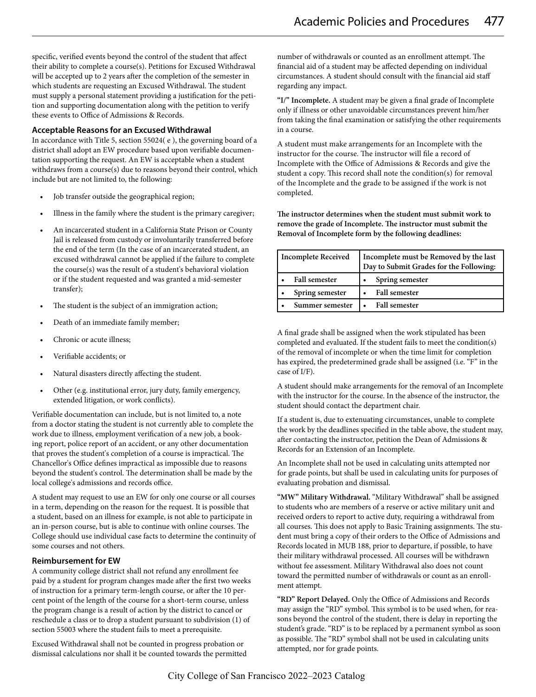specific, verified events beyond the control of the student that affect their ability to complete a course(s). Petitions for Excused Withdrawal will be accepted up to 2 years after the completion of the semester in which students are requesting an Excused Withdrawal. The student must supply a personal statement providing a justification for the petition and supporting documentation along with the petition to verify these events to Office of Admissions & Records.

#### **Acceptable Reasons for an Excused Withdrawal**

In accordance with Title 5, section 55024( e ), the governing board of a district shall adopt an EW procedure based upon verifiable documentation supporting the request. An EW is acceptable when a student withdraws from a course(s) due to reasons beyond their control, which include but are not limited to, the following:

- Job transfer outside the geographical region;
- Illness in the family where the student is the primary caregiver;
- An incarcerated student in a California State Prison or County Jail is released from custody or involuntarily transferred before the end of the term (In the case of an incarcerated student, an excused withdrawal cannot be applied if the failure to complete the course(s) was the result of a student's behavioral violation or if the student requested and was granted a mid-semester transfer);
- The student is the subject of an immigration action;
- Death of an immediate family member;
- Chronic or acute illness:
- Verifiable accidents; or
- Natural disasters directly affecting the student.
- Other (e.g. institutional error, jury duty, family emergency, extended litigation, or work conflicts).

Verifiable documentation can include, but is not limited to, a note from a doctor stating the student is not currently able to complete the work due to illness, employment verification of a new job, a booking report, police report of an accident, or any other documentation that proves the student's completion of a course is impractical. The Chancellor's Office defines impractical as impossible due to reasons beyond the student's control. The determination shall be made by the local college's admissions and records office.

A student may request to use an EW for only one course or all courses in a term, depending on the reason for the request. It is possible that a student, based on an illness for example, is not able to participate in an in-person course, but is able to continue with online courses. The College should use individual case facts to determine the continuity of some courses and not others.

#### **Reimbursement for EW**

A community college district shall not refund any enrollment fee paid by a student for program changes made after the first two weeks of instruction for a primary term-length course, or after the 10 percent point of the length of the course for a short-term course, unless the program change is a result of action by the district to cancel or reschedule a class or to drop a student pursuant to subdivision (1) of section 55003 where the student fails to meet a prerequisite.

Excused Withdrawal shall not be counted in progress probation or dismissal calculations nor shall it be counted towards the permitted number of withdrawals or counted as an enrollment attempt. The financial aid of a student may be affected depending on individual circumstances. A student should consult with the financial aid staff regarding any impact.

**"I/" Incomplete.** A student may be given a final grade of Incomplete only if illness or other unavoidable circumstances prevent him/her from taking the final examination or satisfying the other requirements in a course.

A student must make arrangements for an Incomplete with the instructor for the course. The instructor will file a record of Incomplete with the Office of Admissions & Records and give the student a copy. This record shall note the condition(s) for removal of the Incomplete and the grade to be assigned if the work is not completed.

**The instructor determines when the student must submit work to remove the grade of Incomplete. The instructor must submit the Removal of Incomplete form by the following deadlines:**

| <b>Incomplete Received</b> | Incomplete must be Removed by the last<br>Day to Submit Grades for the Following: |
|----------------------------|-----------------------------------------------------------------------------------|
| <b>Fall semester</b>       | Spring semester<br>$\bullet$                                                      |
| Spring semester            | <b>Fall semester</b>                                                              |
| Summer semester            | <b>Fall semester</b>                                                              |

A final grade shall be assigned when the work stipulated has been completed and evaluated. If the student fails to meet the condition(s) of the removal of incomplete or when the time limit for completion has expired, the predetermined grade shall be assigned (i.e. "F" in the case of I/F).

A student should make arrangements for the removal of an Incomplete with the instructor for the course. In the absence of the instructor, the student should contact the department chair.

If a student is, due to extenuating circumstances, unable to complete the work by the deadlines specified in the table above, the student may, after contacting the instructor, petition the Dean of Admissions & Records for an Extension of an Incomplete.

An Incomplete shall not be used in calculating units attempted nor for grade points, but shall be used in calculating units for purposes of evaluating probation and dismissal.

**"MW" Military Withdrawal.** "Military Withdrawal" shall be assigned to students who are members of a reserve or active military unit and received orders to report to active duty, requiring a withdrawal from all courses. This does not apply to Basic Training assignments. The student must bring a copy of their orders to the Office of Admissions and Records located in MUB 188, prior to departure, if possible, to have their military withdrawal processed. All courses will be withdrawn without fee assessment. Military Withdrawal also does not count toward the permitted number of withdrawals or count as an enrollment attempt.

**"RD" Report Delayed.** Only the Office of Admissions and Records may assign the "RD" symbol. This symbol is to be used when, for reasons beyond the control of the student, there is delay in reporting the student's grade. "RD" is to be replaced by a permanent symbol as soon as possible. The "RD" symbol shall not be used in calculating units attempted, nor for grade points.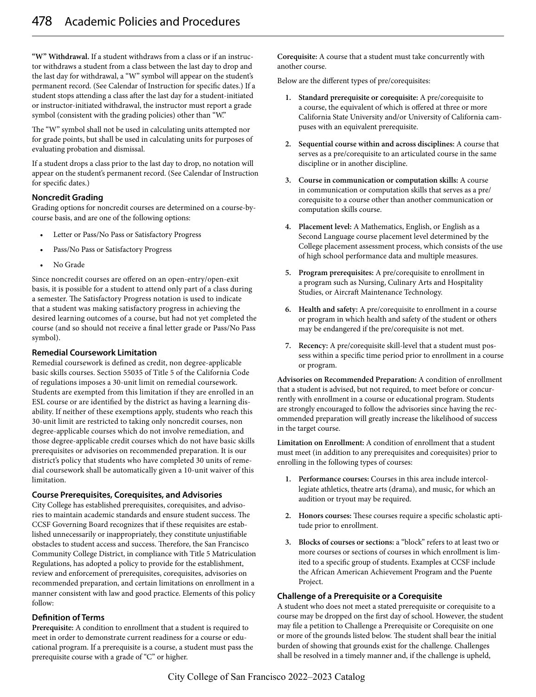**"W" Withdrawal.** If a student withdraws from a class or if an instructor withdraws a student from a class between the last day to drop and the last day for withdrawal, a "W" symbol will appear on the student's permanent record. (See Calendar of Instruction for specific dates.) If a student stops attending a class after the last day for a student-initiated or instructor-initiated withdrawal, the instructor must report a grade symbol (consistent with the grading policies) other than "W."

The "W" symbol shall not be used in calculating units attempted nor for grade points, but shall be used in calculating units for purposes of evaluating probation and dismissal.

If a student drops a class prior to the last day to drop, no notation will appear on the student's permanent record. (See Calendar of Instruction for specific dates.)

#### **Noncredit Grading**

Grading options for noncredit courses are determined on a course-bycourse basis, and are one of the following options:

- Letter or Pass/No Pass or Satisfactory Progress
- Pass/No Pass or Satisfactory Progress
- No Grade

Since noncredit courses are offered on an open-entry/open-exit basis, it is possible for a student to attend only part of a class during a semester. The Satisfactory Progress notation is used to indicate that a student was making satisfactory progress in achieving the desired learning outcomes of a course, but had not yet completed the course (and so should not receive a final letter grade or Pass/No Pass symbol).

#### **Remedial Coursework Limitation**

Remedial coursework is defined as credit, non degree-applicable basic skills courses. Section 55035 of Title 5 of the California Code of regulations imposes a 30-unit limit on remedial coursework. Students are exempted from this limitation if they are enrolled in an ESL course or are identified by the district as having a learning disability. If neither of these exemptions apply, students who reach this 30-unit limit are restricted to taking only noncredit courses, non degree-applicable courses which do not involve remediation, and those degree-applicable credit courses which do not have basic skills prerequisites or advisories on recommended preparation. It is our district's policy that students who have completed 30 units of remedial coursework shall be automatically given a 10-unit waiver of this limitation.

#### **Course Prerequisites, Corequisites, and Advisories**

City College has established prerequisites, corequisites, and advisories to maintain academic standards and ensure student success. The CCSF Governing Board recognizes that if these requisites are established unnecessarily or inappropriately, they constitute unjustifiable obstacles to student access and success. Therefore, the San Francisco Community College District, in compliance with Title 5 Matriculation Regulations, has adopted a policy to provide for the establishment, review and enforcement of prerequisites, corequisites, advisories on recommended preparation, and certain limitations on enrollment in a manner consistent with law and good practice. Elements of this policy follow:

#### **Definition of Terms**

**Prerequisite:** A condition to enrollment that a student is required to meet in order to demonstrate current readiness for a course or educational program. If a prerequisite is a course, a student must pass the prerequisite course with a grade of "C" or higher.

**Corequisite:** A course that a student must take concurrently with another course.

Below are the different types of pre/corequisites:

- **1. Standard prerequisite or corequisite:** A pre/corequisite to a course, the equivalent of which is offered at three or more California State University and/or University of California campuses with an equivalent prerequisite.
- **2. Sequential course within and across disciplines:** A course that serves as a pre/corequisite to an articulated course in the same discipline or in another discipline.
- **3. Course in communication or computation skills:** A course in communication or computation skills that serves as a pre/ corequisite to a course other than another communication or computation skills course.
- **4. Placement level:** A Mathematics, English, or English as a Second Language course placement level determined by the College placement assessment process, which consists of the use of high school performance data and multiple measures.
- **5. Program prerequisites:** A pre/corequisite to enrollment in a program such as Nursing, Culinary Arts and Hospitality Studies, or Aircraft Maintenance Technology.
- **6. Health and safety:** A pre/corequisite to enrollment in a course or program in which health and safety of the student or others may be endangered if the pre/corequisite is not met.
- **7. Recency:** A pre/corequisite skill-level that a student must possess within a specific time period prior to enrollment in a course or program.

**Advisories on Recommended Preparation:** A condition of enrollment that a student is advised, but not required, to meet before or concurrently with enrollment in a course or educational program. Students are strongly encouraged to follow the advisories since having the recommended preparation will greatly increase the likelihood of success in the target course.

**Limitation on Enrollment:** A condition of enrollment that a student must meet (in addition to any prerequisites and corequisites) prior to enrolling in the following types of courses:

- **1. Performance courses:** Courses in this area include intercollegiate athletics, theatre arts (drama), and music, for which an audition or tryout may be required.
- **2. Honors courses:** These courses require a specific scholastic aptitude prior to enrollment.
- **3. Blocks of courses or sections:** a "block" refers to at least two or more courses or sections of courses in which enrollment is limited to a specific group of students. Examples at CCSF include the African American Achievement Program and the Puente Project.

#### **Challenge of a Prerequisite or a Corequisite**

A student who does not meet a stated prerequisite or corequisite to a course may be dropped on the first day of school. However, the student may file a petition to Challenge a Prerequisite or Corequisite on one or more of the grounds listed below. The student shall bear the initial burden of showing that grounds exist for the challenge. Challenges shall be resolved in a timely manner and, if the challenge is upheld,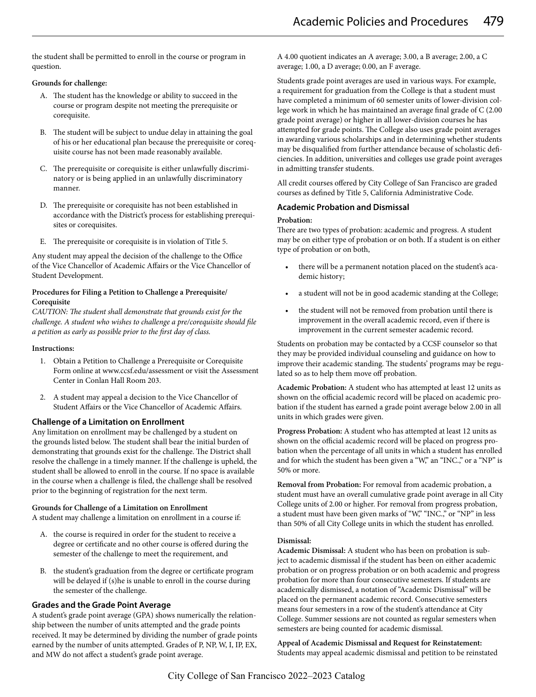the student shall be permitted to enroll in the course or program in question.

#### **Grounds for challenge:**

- A. The student has the knowledge or ability to succeed in the course or program despite not meeting the prerequisite or corequisite.
- B. The student will be subject to undue delay in attaining the goal of his or her educational plan because the prerequisite or corequisite course has not been made reasonably available.
- C. The prerequisite or corequisite is either unlawfully discriminatory or is being applied in an unlawfully discriminatory manner.
- D. The prerequisite or corequisite has not been established in accordance with the District's process for establishing prerequisites or corequisites.
- E. The prerequisite or corequisite is in violation of Title 5.

Any student may appeal the decision of the challenge to the Office of the Vice Chancellor of Academic Affairs or the Vice Chancellor of Student Development.

#### **Procedures for Filing a Petition to Challenge a Prerequisite/ Corequisite**

*CAUTION: The student shall demonstrate that grounds exist for the challenge. A student who wishes to challenge a pre/corequisite should file a petition as early as possible prior to the first day of class.*

#### **Instructions:**

- 1. Obtain a Petition to Challenge a Prerequisite or Corequisite Form online at www.ccsf.edu/assessment or visit the Assessment Center in Conlan Hall Room 203.
- 2. A student may appeal a decision to the Vice Chancellor of Student Affairs or the Vice Chancellor of Academic Affairs.

#### **Challenge of a Limitation on Enrollment**

Any limitation on enrollment may be challenged by a student on the grounds listed below. The student shall bear the initial burden of demonstrating that grounds exist for the challenge. The District shall resolve the challenge in a timely manner. If the challenge is upheld, the student shall be allowed to enroll in the course. If no space is available in the course when a challenge is filed, the challenge shall be resolved prior to the beginning of registration for the next term.

#### **Grounds for Challenge of a Limitation on Enrollment**

A student may challenge a limitation on enrollment in a course if:

- A. the course is required in order for the student to receive a degree or certificate and no other course is offered during the semester of the challenge to meet the requirement, and
- the student's graduation from the degree or certificate program will be delayed if (s)he is unable to enroll in the course during the semester of the challenge.

#### **Grades and the Grade Point Average**

A student's grade point average (GPA) shows numerically the relationship between the number of units attempted and the grade points received. It may be determined by dividing the number of grade points earned by the number of units attempted. Grades of P, NP, W, I, IP, EX, and MW do not affect a student's grade point average.

A 4.00 quotient indicates an A average; 3.00, a B average; 2.00, a C average; 1.00, a D average; 0.00, an F average.

Students grade point averages are used in various ways. For example, a requirement for graduation from the College is that a student must have completed a minimum of 60 semester units of lower-division college work in which he has maintained an average final grade of C (2.00 grade point average) or higher in all lower-division courses he has attempted for grade points. The College also uses grade point averages in awarding various scholarships and in determining whether students may be disqualified from further attendance because of scholastic deficiencies. In addition, universities and colleges use grade point averages in admitting transfer students.

All credit courses offered by City College of San Francisco are graded courses as defined by Title 5, California Administrative Code.

#### **Academic Probation and Dismissal**

#### **Probation:**

There are two types of probation: academic and progress. A student may be on either type of probation or on both. If a student is on either type of probation or on both,

- there will be a permanent notation placed on the student's academic history;
- a student will not be in good academic standing at the College;
- the student will not be removed from probation until there is improvement in the overall academic record, even if there is improvement in the current semester academic record.

Students on probation may be contacted by a CCSF counselor so that they may be provided individual counseling and guidance on how to improve their academic standing. The students' programs may be regulated so as to help them move off probation.

**Academic Probation:** A student who has attempted at least 12 units as shown on the official academic record will be placed on academic probation if the student has earned a grade point average below 2.00 in all units in which grades were given.

**Progress Probation:** A student who has attempted at least 12 units as shown on the official academic record will be placed on progress probation when the percentage of all units in which a student has enrolled and for which the student has been given a "W," an "INC.," or a "NP" is 50% or more.

**Removal from Probation:** For removal from academic probation, a student must have an overall cumulative grade point average in all City College units of 2.00 or higher. For removal from progress probation, a student must have been given marks of "W," "INC.," or "NP" in less than 50% of all City College units in which the student has enrolled.

#### **Dismissal:**

**Academic Dismissal:** A student who has been on probation is subject to academic dismissal if the student has been on either academic probation or on progress probation or on both academic and progress probation for more than four consecutive semesters. If students are academically dismissed, a notation of "Academic Dismissal" will be placed on the permanent academic record. Consecutive semesters means four semesters in a row of the student's attendance at City College. Summer sessions are not counted as regular semesters when semesters are being counted for academic dismissal.

**Appeal of Academic Dismissal and Request for Reinstatement:**  Students may appeal academic dismissal and petition to be reinstated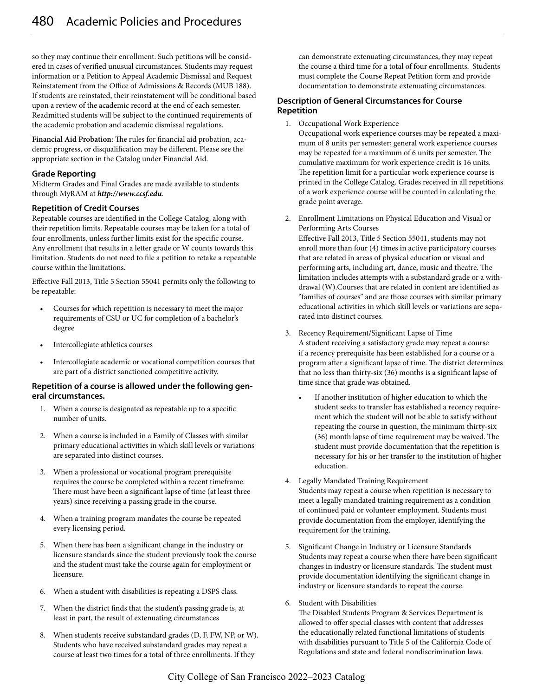so they may continue their enrollment. Such petitions will be considered in cases of verified unusual circumstances. Students may request information or a Petition to Appeal Academic Dismissal and Request Reinstatement from the Office of Admissions & Records (MUB 188). If students are reinstated, their reinstatement will be conditional based upon a review of the academic record at the end of each semester. Readmitted students will be subject to the continued requirements of the academic probation and academic dismissal regulations.

**Financial Aid Probation:** The rules for financial aid probation, academic progress, or disqualification may be different. Please see the appropriate section in the Catalog under Financial Aid.

#### **Grade Reporting**

Midterm Grades and Final Grades are made available to students through MyRAM at *http://www.ccsf.edu*.

#### **Repetition of Credit Courses**

Repeatable courses are identified in the College Catalog, along with their repetition limits. Repeatable courses may be taken for a total of four enrollments, unless further limits exist for the specific course. Any enrollment that results in a letter grade or W counts towards this limitation. Students do not need to file a petition to retake a repeatable course within the limitations.

Effective Fall 2013, Title 5 Section 55041 permits only the following to be repeatable:

- Courses for which repetition is necessary to meet the major requirements of CSU or UC for completion of a bachelor's degree
- Intercollegiate athletics courses
- Intercollegiate academic or vocational competition courses that are part of a district sanctioned competitive activity.

#### **Repetition of a course is allowed under the following general circumstances.**

- 1. When a course is designated as repeatable up to a specific number of units.
- 2. When a course is included in a Family of Classes with similar primary educational activities in which skill levels or variations are separated into distinct courses.
- 3. When a professional or vocational program prerequisite requires the course be completed within a recent timeframe. There must have been a significant lapse of time (at least three years) since receiving a passing grade in the course.
- 4. When a training program mandates the course be repeated every licensing period.
- 5. When there has been a significant change in the industry or licensure standards since the student previously took the course and the student must take the course again for employment or licensure.
- 6. When a student with disabilities is repeating a DSPS class.
- 7. When the district finds that the student's passing grade is, at least in part, the result of extenuating circumstances
- 8. When students receive substandard grades (D, F, FW, NP, or W). Students who have received substandard grades may repeat a course at least two times for a total of three enrollments. If they

can demonstrate extenuating circumstances, they may repeat the course a third time for a total of four enrollments. Students must complete the Course Repeat Petition form and provide documentation to demonstrate extenuating circumstances.

#### **Description of General Circumstances for Course Repetition**

1. Occupational Work Experience

Occupational work experience courses may be repeated a maximum of 8 units per semester; general work experience courses may be repeated for a maximum of 6 units per semester. The cumulative maximum for work experience credit is 16 units. The repetition limit for a particular work experience course is printed in the College Catalog. Grades received in all repetitions of a work experience course will be counted in calculating the grade point average.

2. Enrollment Limitations on Physical Education and Visual or Performing Arts Courses Effective Fall 2013, Title 5 Section 55041, students may not

enroll more than four (4) times in active participatory courses that are related in areas of physical education or visual and performing arts, including art, dance, music and theatre. The limitation includes attempts with a substandard grade or a withdrawal (W).Courses that are related in content are identified as "families of courses" and are those courses with similar primary educational activities in which skill levels or variations are separated into distinct courses.

- 3. Recency Requirement/Significant Lapse of Time A student receiving a satisfactory grade may repeat a course if a recency prerequisite has been established for a course or a program after a significant lapse of time. The district determines that no less than thirty-six (36) months is a significant lapse of time since that grade was obtained.
	- If another institution of higher education to which the student seeks to transfer has established a recency requirement which the student will not be able to satisfy without repeating the course in question, the minimum thirty-six (36) month lapse of time requirement may be waived. The student must provide documentation that the repetition is necessary for his or her transfer to the institution of higher education.
- 4. Legally Mandated Training Requirement Students may repeat a course when repetition is necessary to meet a legally mandated training requirement as a condition of continued paid or volunteer employment. Students must provide documentation from the employer, identifying the requirement for the training.
- 5. Significant Change in Industry or Licensure Standards Students may repeat a course when there have been significant changes in industry or licensure standards. The student must provide documentation identifying the significant change in industry or licensure standards to repeat the course.
- 6. Student with Disabilities

The Disabled Students Program & Services Department is allowed to offer special classes with content that addresses the educationally related functional limitations of students with disabilities pursuant to Title 5 of the California Code of Regulations and state and federal nondiscrimination laws.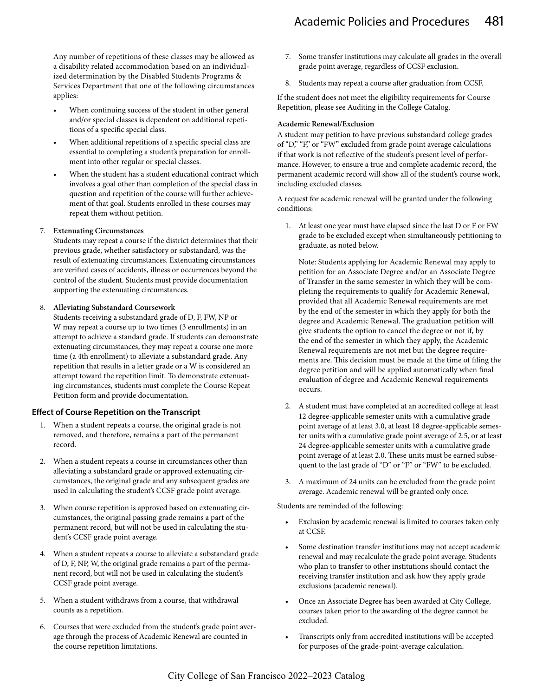Any number of repetitions of these classes may be allowed as a disability related accommodation based on an individualized determination by the Disabled Students Programs & Services Department that one of the following circumstances applies:

- When continuing success of the student in other general and/or special classes is dependent on additional repetitions of a specific special class.
- When additional repetitions of a specific special class are essential to completing a student's preparation for enrollment into other regular or special classes.
- When the student has a student educational contract which involves a goal other than completion of the special class in question and repetition of the course will further achievement of that goal. Students enrolled in these courses may repeat them without petition.

#### 7. **Extenuating Circumstances**

Students may repeat a course if the district determines that their previous grade, whether satisfactory or substandard, was the result of extenuating circumstances. Extenuating circumstances are verified cases of accidents, illness or occurrences beyond the control of the student. Students must provide documentation supporting the extenuating circumstances.

#### 8. **Alleviating Substandard Coursework**

Students receiving a substandard grade of D, F, FW, NP or W may repeat a course up to two times (3 enrollments) in an attempt to achieve a standard grade. If students can demonstrate extenuating circumstances, they may repeat a course one more time (a 4th enrollment) to alleviate a substandard grade. Any repetition that results in a letter grade or a W is considered an attempt toward the repetition limit. To demonstrate extenuating circumstances, students must complete the Course Repeat Petition form and provide documentation.

#### **Effect of Course Repetition on the Transcript**

- 1. When a student repeats a course, the original grade is not removed, and therefore, remains a part of the permanent record.
- 2. When a student repeats a course in circumstances other than alleviating a substandard grade or approved extenuating circumstances, the original grade and any subsequent grades are used in calculating the student's CCSF grade point average.
- 3. When course repetition is approved based on extenuating circumstances, the original passing grade remains a part of the permanent record, but will not be used in calculating the student's CCSF grade point average.
- 4. When a student repeats a course to alleviate a substandard grade of D, F, NP, W, the original grade remains a part of the permanent record, but will not be used in calculating the student's CCSF grade point average.
- 5. When a student withdraws from a course, that withdrawal counts as a repetition.
- 6. Courses that were excluded from the student's grade point average through the process of Academic Renewal are counted in the course repetition limitations.
- 7. Some transfer institutions may calculate all grades in the overall grade point average, regardless of CCSF exclusion.
- 8. Students may repeat a course after graduation from CCSF.

If the student does not meet the eligibility requirements for Course Repetition, please see Auditing in the College Catalog.

#### **Academic Renewal/Exclusion**

A student may petition to have previous substandard college grades of "D," "F," or "FW" excluded from grade point average calculations if that work is not reflective of the student's present level of performance. However, to ensure a true and complete academic record, the permanent academic record will show all of the student's course work, including excluded classes.

A request for academic renewal will be granted under the following conditions:

1. At least one year must have elapsed since the last D or F or FW grade to be excluded except when simultaneously petitioning to graduate, as noted below.

Note: Students applying for Academic Renewal may apply to petition for an Associate Degree and/or an Associate Degree of Transfer in the same semester in which they will be completing the requirements to qualify for Academic Renewal, provided that all Academic Renewal requirements are met by the end of the semester in which they apply for both the degree and Academic Renewal. The graduation petition will give students the option to cancel the degree or not if, by the end of the semester in which they apply, the Academic Renewal requirements are not met but the degree requirements are. This decision must be made at the time of filing the degree petition and will be applied automatically when final evaluation of degree and Academic Renewal requirements occurs.

- 2. A student must have completed at an accredited college at least 12 degree-applicable semester units with a cumulative grade point average of at least 3.0, at least 18 degree-applicable semester units with a cumulative grade point average of 2.5, or at least 24 degree-applicable semester units with a cumulative grade point average of at least 2.0. These units must be earned subsequent to the last grade of "D" or "F" or "FW" to be excluded.
- 3. A maximum of 24 units can be excluded from the grade point average. Academic renewal will be granted only once.

Students are reminded of the following:

- Exclusion by academic renewal is limited to courses taken only at CCSF.
- Some destination transfer institutions may not accept academic renewal and may recalculate the grade point average. Students who plan to transfer to other institutions should contact the receiving transfer institution and ask how they apply grade exclusions (academic renewal).
- Once an Associate Degree has been awarded at City College, courses taken prior to the awarding of the degree cannot be excluded.
- Transcripts only from accredited institutions will be accepted for purposes of the grade-point-average calculation.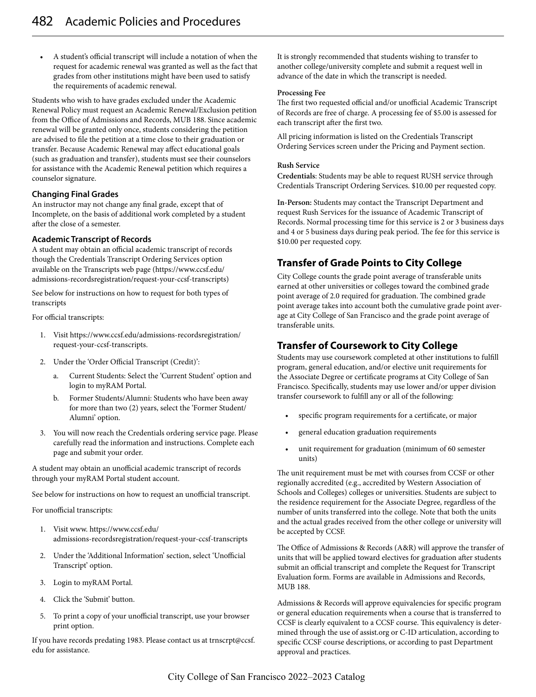• A student's official transcript will include a notation of when the request for academic renewal was granted as well as the fact that grades from other institutions might have been used to satisfy the requirements of academic renewal.

Students who wish to have grades excluded under the Academic Renewal Policy must request an Academic Renewal/Exclusion petition from the Office of Admissions and Records, MUB 188. Since academic renewal will be granted only once, students considering the petition are advised to file the petition at a time close to their graduation or transfer. Because Academic Renewal may affect educational goals (such as graduation and transfer), students must see their counselors for assistance with the Academic Renewal petition which requires a counselor signature.

#### **Changing Final Grades**

An instructor may not change any final grade, except that of Incomplete, on the basis of additional work completed by a student after the close of a semester.

#### **Academic Transcript of Records**

A student may obtain an official academic transcript of records though the Credentials Transcript Ordering Services option available on the Transcripts web page (https://www.ccsf.edu/ admissions-recordsregistration/request-your-ccsf-transcripts)

See below for instructions on how to request for both types of transcripts

For official transcripts:

- 1. Visit https://www.ccsf.edu/admissions-recordsregistration/ request-your-ccsf-transcripts.
- 2. Under the 'Order Official Transcript (Credit)':
	- a. Current Students: Select the 'Current Student' option and login to myRAM Portal.
	- b. Former Students/Alumni: Students who have been away for more than two (2) years, select the 'Former Student/ Alumni' option.
- 3. You will now reach the Credentials ordering service page. Please carefully read the information and instructions. Complete each page and submit your order.

A student may obtain an unofficial academic transcript of records through your myRAM Portal student account.

See below for instructions on how to request an unofficial transcript.

For unofficial transcripts:

- 1. Visit www. https://www.ccsf.edu/ admissions-recordsregistration/request-your-ccsf-transcripts
- 2. Under the 'Additional Information' section, select 'Unofficial Transcript' option.
- 3. Login to myRAM Portal.
- 4. Click the 'Submit' button.
- 5. To print a copy of your unofficial transcript, use your browser print option.

If you have records predating 1983. Please contact us at trnscrpt@ccsf. edu for assistance.

It is strongly recommended that students wishing to transfer to another college/university complete and submit a request well in advance of the date in which the transcript is needed.

#### **Processing Fee**

The first two requested official and/or unofficial Academic Transcript of Records are free of charge. A processing fee of \$5.00 is assessed for each transcript after the first two.

All pricing information is listed on the Credentials Transcript Ordering Services screen under the Pricing and Payment section.

#### **Rush Service**

**Credentials**: Students may be able to request RUSH service through Credentials Transcript Ordering Services. \$10.00 per requested copy.

**In-Person:** Students may contact the Transcript Department and request Rush Services for the issuance of Academic Transcript of Records. Normal processing time for this service is 2 or 3 business days and 4 or 5 business days during peak period. The fee for this service is \$10.00 per requested copy.

# **Transfer of Grade Points to City College**

City College counts the grade point average of transferable units earned at other universities or colleges toward the combined grade point average of 2.0 required for graduation. The combined grade point average takes into account both the cumulative grade point average at City College of San Francisco and the grade point average of transferable units.

# **Transfer of Coursework to City College**

Students may use coursework completed at other institutions to fulfill program, general education, and/or elective unit requirements for the Associate Degree or certificate programs at City College of San Francisco. Specifically, students may use lower and/or upper division transfer coursework to fulfill any or all of the following:

- specific program requirements for a certificate, or major
- general education graduation requirements
- unit requirement for graduation (minimum of 60 semester units)

The unit requirement must be met with courses from CCSF or other regionally accredited (e.g., accredited by Western Association of Schools and Colleges) colleges or universities. Students are subject to the residence requirement for the Associate Degree, regardless of the number of units transferred into the college. Note that both the units and the actual grades received from the other college or university will be accepted by CCSF.

The Office of Admissions & Records (A&R) will approve the transfer of units that will be applied toward electives for graduation after students submit an official transcript and complete the Request for Transcript Evaluation form. Forms are available in Admissions and Records, MUB 188.

Admissions & Records will approve equivalencies for specific program or general education requirements when a course that is transferred to CCSF is clearly equivalent to a CCSF course. This equivalency is determined through the use of assist.org or C-ID articulation, according to specific CCSF course descriptions, or according to past Department approval and practices.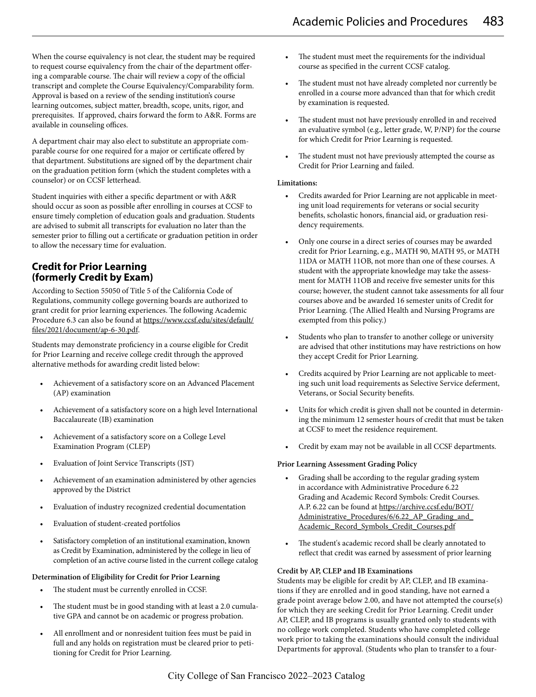When the course equivalency is not clear, the student may be required to request course equivalency from the chair of the department offering a comparable course. The chair will review a copy of the official transcript and complete the Course Equivalency/Comparability form. Approval is based on a review of the sending institution's course learning outcomes, subject matter, breadth, scope, units, rigor, and prerequisites. If approved, chairs forward the form to A&R. Forms are available in counseling offices.

A department chair may also elect to substitute an appropriate comparable course for one required for a major or certificate offered by that department. Substitutions are signed off by the department chair on the graduation petition form (which the student completes with a counselor) or on CCSF letterhead.

Student inquiries with either a specific department or with A&R should occur as soon as possible after enrolling in courses at CCSF to ensure timely completion of education goals and graduation. Students are advised to submit all transcripts for evaluation no later than the semester prior to filling out a certificate or graduation petition in order to allow the necessary time for evaluation.

# **Credit for Prior Learning (formerly Credit by Exam)**

According to Section 55050 of Title 5 of the California Code of Regulations, community college governing boards are authorized to grant credit for prior learning experiences. The following Academic Procedure 6.3 can also be found at https://www.ccsf.edu/sites/default/ files/2021/document/ap-6-30.pdf.

Students may demonstrate proficiency in a course eligible for Credit for Prior Learning and receive college credit through the approved alternative methods for awarding credit listed below:

- Achievement of a satisfactory score on an Advanced Placement (AP) examination
- Achievement of a satisfactory score on a high level International Baccalaureate (IB) examination
- Achievement of a satisfactory score on a College Level Examination Program (CLEP)
- Evaluation of Joint Service Transcripts (JST)
- Achievement of an examination administered by other agencies approved by the District
- Evaluation of industry recognized credential documentation
- Evaluation of student-created portfolios
- Satisfactory completion of an institutional examination, known as Credit by Examination, administered by the college in lieu of completion of an active course listed in the current college catalog

#### **Determination of Eligibility for Credit for Prior Learning**

- The student must be currently enrolled in CCSF.
- The student must be in good standing with at least a 2.0 cumulative GPA and cannot be on academic or progress probation.
- All enrollment and or nonresident tuition fees must be paid in full and any holds on registration must be cleared prior to petitioning for Credit for Prior Learning.
- The student must meet the requirements for the individual course as specified in the current CCSF catalog.
- The student must not have already completed nor currently be enrolled in a course more advanced than that for which credit by examination is requested.
- The student must not have previously enrolled in and received an evaluative symbol (e.g., letter grade, W, P/NP) for the course for which Credit for Prior Learning is requested.
- The student must not have previously attempted the course as Credit for Prior Learning and failed.

#### **Limitations:**

- Credits awarded for Prior Learning are not applicable in meeting unit load requirements for veterans or social security benefits, scholastic honors, financial aid, or graduation residency requirements.
- Only one course in a direct series of courses may be awarded credit for Prior Learning, e.g., MATH 90, MATH 95, or MATH 11DA or MATH 11OB, not more than one of these courses. A student with the appropriate knowledge may take the assessment for MATH 11OB and receive five semester units for this course; however, the student cannot take assessments for all four courses above and be awarded 16 semester units of Credit for Prior Learning. (The Allied Health and Nursing Programs are exempted from this policy.)
- Students who plan to transfer to another college or university are advised that other institutions may have restrictions on how they accept Credit for Prior Learning.
- Credits acquired by Prior Learning are not applicable to meeting such unit load requirements as Selective Service deferment, Veterans, or Social Security benefits.
- Units for which credit is given shall not be counted in determining the minimum 12 semester hours of credit that must be taken at CCSF to meet the residence requirement.
- Credit by exam may not be available in all CCSF departments.

#### **Prior Learning Assessment Grading Policy**

- Grading shall be according to the regular grading system in accordance with Administrative Procedure 6.22 Grading and Academic Record Symbols: Credit Courses. A.P. 6.22 can be found at https://archive.ccsf.edu/BOT/ Administrative\_Procedures/6/6.22\_AP\_Grading\_and Academic\_Record\_Symbols\_Credit\_Courses.pdf
- The student's academic record shall be clearly annotated to reflect that credit was earned by assessment of prior learning

#### **Credit by AP, CLEP and IB Examinations**

Students may be eligible for credit by AP, CLEP, and IB examinations if they are enrolled and in good standing, have not earned a grade point average below 2.00, and have not attempted the course(s) for which they are seeking Credit for Prior Learning. Credit under AP, CLEP, and IB programs is usually granted only to students with no college work completed. Students who have completed college work prior to taking the examinations should consult the individual Departments for approval. (Students who plan to transfer to a four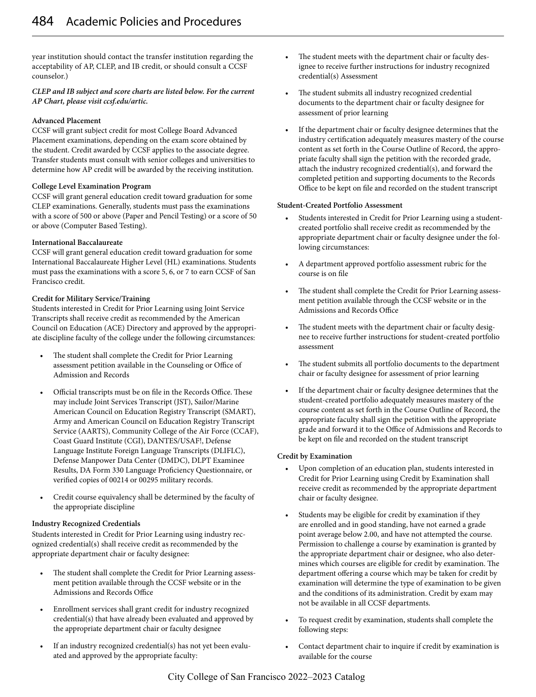year institution should contact the transfer institution regarding the acceptability of AP, CLEP, and IB credit, or should consult a CCSF counselor.)

#### *CLEP and IB subject and score charts are listed below. For the current AP Chart, please visit ccsf.edu/artic.*

#### **Advanced Placement**

CCSF will grant subject credit for most College Board Advanced Placement examinations, depending on the exam score obtained by the student. Credit awarded by CCSF applies to the associate degree. Transfer students must consult with senior colleges and universities to determine how AP credit will be awarded by the receiving institution.

#### **College Level Examination Program**

CCSF will grant general education credit toward graduation for some CLEP examinations. Generally, students must pass the examinations with a score of 500 or above (Paper and Pencil Testing) or a score of 50 or above (Computer Based Testing).

#### **International Baccalaureate**

CCSF will grant general education credit toward graduation for some International Baccalaureate Higher Level (HL) examinations. Students must pass the examinations with a score 5, 6, or 7 to earn CCSF of San Francisco credit.

#### **Credit for Military Service/Training**

Students interested in Credit for Prior Learning using Joint Service Transcripts shall receive credit as recommended by the American Council on Education (ACE) Directory and approved by the appropriate discipline faculty of the college under the following circumstances:

- The student shall complete the Credit for Prior Learning assessment petition available in the Counseling or Office of Admission and Records
- Official transcripts must be on file in the Records Office. These may include Joint Services Transcript (JST), Sailor/Marine American Council on Education Registry Transcript (SMART), Army and American Council on Education Registry Transcript Service (AARTS), Community College of the Air Force (CCAF), Coast Guard Institute (CGI), DANTES/USAF!, Defense Language Institute Foreign Language Transcripts (DLIFLC), Defense Manpower Data Center (DMDC), DLPT Examinee Results, DA Form 330 Language Proficiency Questionnaire, or verified copies of 00214 or 00295 military records.
- Credit course equivalency shall be determined by the faculty of the appropriate discipline

#### **Industry Recognized Credentials**

Students interested in Credit for Prior Learning using industry recognized credential(s) shall receive credit as recommended by the appropriate department chair or faculty designee:

- The student shall complete the Credit for Prior Learning assessment petition available through the CCSF website or in the Admissions and Records Office
- Enrollment services shall grant credit for industry recognized credential(s) that have already been evaluated and approved by the appropriate department chair or faculty designee
- If an industry recognized credential(s) has not yet been evaluated and approved by the appropriate faculty:
- The student meets with the department chair or faculty designee to receive further instructions for industry recognized credential(s) Assessment
- The student submits all industry recognized credential documents to the department chair or faculty designee for assessment of prior learning
- If the department chair or faculty designee determines that the industry certification adequately measures mastery of the course content as set forth in the Course Outline of Record, the appropriate faculty shall sign the petition with the recorded grade, attach the industry recognized credential(s), and forward the completed petition and supporting documents to the Records Office to be kept on file and recorded on the student transcript

#### **Student-Created Portfolio Assessment**

- Students interested in Credit for Prior Learning using a studentcreated portfolio shall receive credit as recommended by the appropriate department chair or faculty designee under the following circumstances:
- A department approved portfolio assessment rubric for the course is on file
- The student shall complete the Credit for Prior Learning assessment petition available through the CCSF website or in the Admissions and Records Office
- The student meets with the department chair or faculty designee to receive further instructions for student-created portfolio assessment
- The student submits all portfolio documents to the department chair or faculty designee for assessment of prior learning
- If the department chair or faculty designee determines that the student-created portfolio adequately measures mastery of the course content as set forth in the Course Outline of Record, the appropriate faculty shall sign the petition with the appropriate grade and forward it to the Office of Admissions and Records to be kept on file and recorded on the student transcript

#### **Credit by Examination**

- Upon completion of an education plan, students interested in Credit for Prior Learning using Credit by Examination shall receive credit as recommended by the appropriate department chair or faculty designee.
- Students may be eligible for credit by examination if they are enrolled and in good standing, have not earned a grade point average below 2.00, and have not attempted the course. Permission to challenge a course by examination is granted by the appropriate department chair or designee, who also determines which courses are eligible for credit by examination. The department offering a course which may be taken for credit by examination will determine the type of examination to be given and the conditions of its administration. Credit by exam may not be available in all CCSF departments.
- To request credit by examination, students shall complete the following steps:
- Contact department chair to inquire if credit by examination is available for the course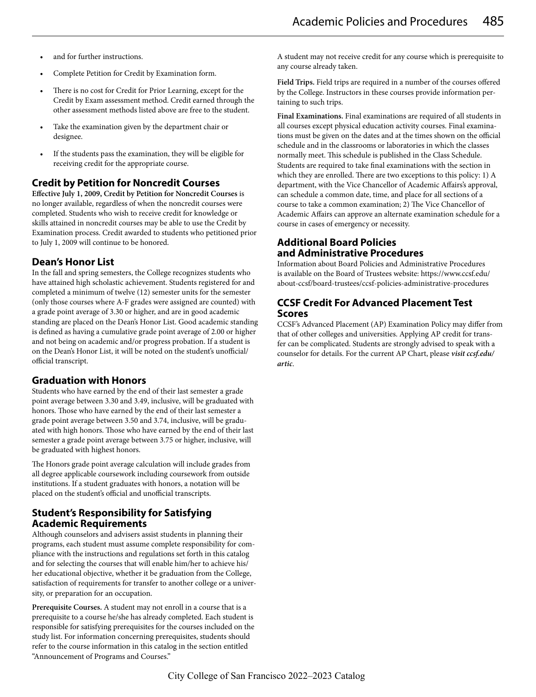- and for further instructions.
- Complete Petition for Credit by Examination form.
- There is no cost for Credit for Prior Learning, except for the Credit by Exam assessment method. Credit earned through the other assessment methods listed above are free to the student.
- Take the examination given by the department chair or designee.
- If the students pass the examination, they will be eligible for receiving credit for the appropriate course.

## **Credit by Petition for Noncredit Courses**

**Effective July 1, 2009, Credit by Petition for Noncredit Courses** is no longer available, regardless of when the noncredit courses were completed. Students who wish to receive credit for knowledge or skills attained in noncredit courses may be able to use the Credit by Examination process. Credit awarded to students who petitioned prior to July 1, 2009 will continue to be honored.

# **Dean's Honor List**

In the fall and spring semesters, the College recognizes students who have attained high scholastic achievement. Students registered for and completed a minimum of twelve (12) semester units for the semester (only those courses where A-F grades were assigned are counted) with a grade point average of 3.30 or higher, and are in good academic standing are placed on the Dean's Honor List. Good academic standing is defined as having a cumulative grade point average of 2.00 or higher and not being on academic and/or progress probation. If a student is on the Dean's Honor List, it will be noted on the student's unofficial/ official transcript.

#### **Graduation with Honors**

Students who have earned by the end of their last semester a grade point average between 3.30 and 3.49, inclusive, will be graduated with honors. Those who have earned by the end of their last semester a grade point average between 3.50 and 3.74, inclusive, will be graduated with high honors. Those who have earned by the end of their last semester a grade point average between 3.75 or higher, inclusive, will be graduated with highest honors.

The Honors grade point average calculation will include grades from all degree applicable coursework including coursework from outside institutions. If a student graduates with honors, a notation will be placed on the student's official and unofficial transcripts.

## **Student's Responsibility for Satisfying Academic Requirements**

Although counselors and advisers assist students in planning their programs, each student must assume complete responsibility for compliance with the instructions and regulations set forth in this catalog and for selecting the courses that will enable him/her to achieve his/ her educational objective, whether it be graduation from the College, satisfaction of requirements for transfer to another college or a university, or preparation for an occupation.

**Prerequisite Courses.** A student may not enroll in a course that is a prerequisite to a course he/she has already completed. Each student is responsible for satisfying prerequisites for the courses included on the study list. For information concerning prerequisites, students should refer to the course information in this catalog in the section entitled "Announcement of Programs and Courses."

A student may not receive credit for any course which is prerequisite to any course already taken.

**Field Trips.** Field trips are required in a number of the courses offered by the College. Instructors in these courses provide information pertaining to such trips.

**Final Examinations.** Final examinations are required of all students in all courses except physical education activity courses. Final examinations must be given on the dates and at the times shown on the official schedule and in the classrooms or laboratories in which the classes normally meet. This schedule is published in the Class Schedule. Students are required to take final examinations with the section in which they are enrolled. There are two exceptions to this policy: 1) A department, with the Vice Chancellor of Academic Affairs's approval, can schedule a common date, time, and place for all sections of a course to take a common examination; 2) The Vice Chancellor of Academic Affairs can approve an alternate examination schedule for a course in cases of emergency or necessity.

# **Additional Board Policies and Administrative Procedures**

Information about Board Policies and Administrative Procedures is available on the Board of Trustees website: https://www.ccsf.edu/ about-ccsf/board-trustees/ccsf-policies-administrative-procedures

# **CCSF Credit For Advanced Placement Test Scores**

CCSF's Advanced Placement (AP) Examination Policy may differ from that of other colleges and universities. Applying AP credit for transfer can be complicated. Students are strongly advised to speak with a counselor for details. For the current AP Chart, please *visit ccsf.edu/ artic*.